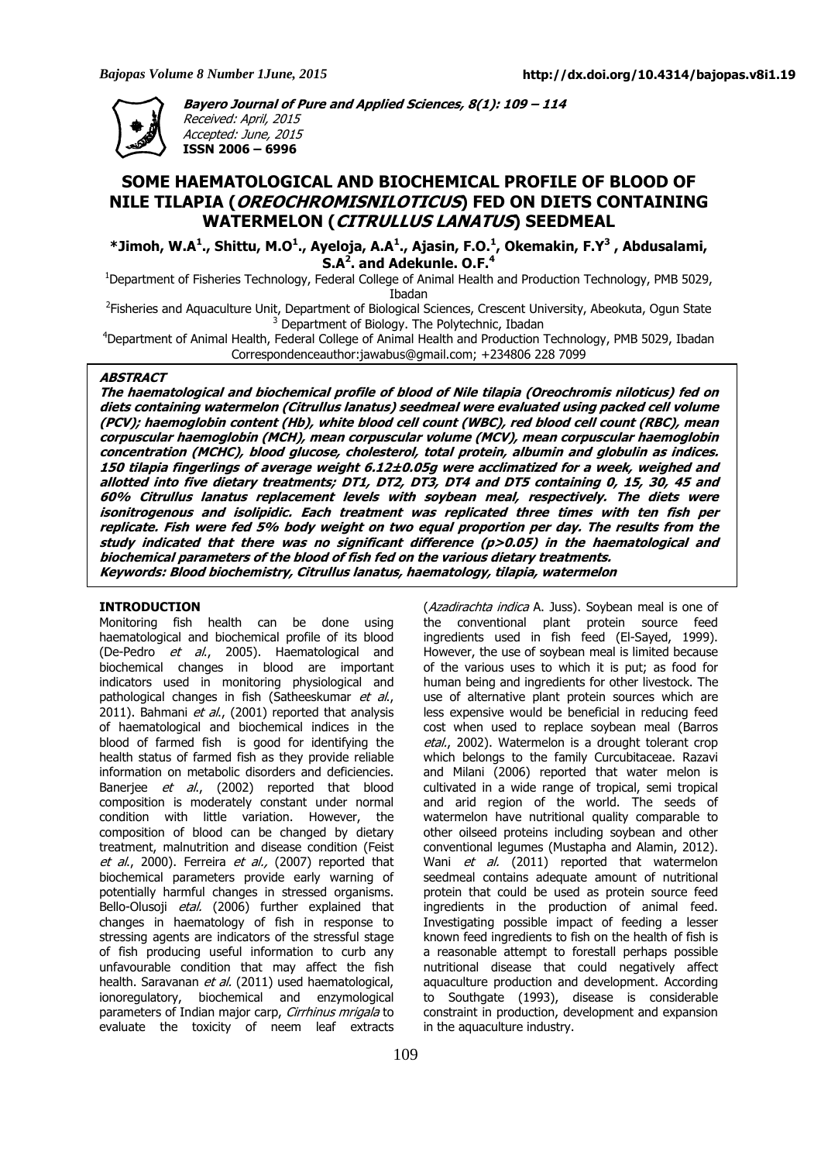

**Bayero Journal of Pure and Applied Sciences, 8(1): 109 – 114**  Received: April, 2015 Accepted: June, 2015 **ISSN 2006 – 6996** 

# **SOME HAEMATOLOGICAL AND BIOCHEMICAL PROFILE OF BLOOD OF NILE TILAPIA (OREOCHROMISNILOTICUS) FED ON DIETS CONTAINING WATERMELON (CITRULLUS LANATUS) SEEDMEAL**

**\*Jimoh, W.A<sup>1</sup> ., Shittu, M.O<sup>1</sup> ., Ayeloja, A.A<sup>1</sup> ., Ajasin, F.O.<sup>1</sup> , Okemakin, F.Y<sup>3</sup> , Abdusalami, S.A<sup>2</sup> . and Adekunle. O.F.<sup>4</sup>**

<sup>1</sup>Department of Fisheries Technology, Federal College of Animal Health and Production Technology, PMB 5029, Ibadan

<sup>2</sup>Fisheries and Aquaculture Unit, Department of Biological Sciences, Crescent University, Abeokuta, Ogun State <sup>3</sup> Department of Biology. The Polytechnic, Ibadan

<sup>4</sup>Department of Animal Health, Federal College of Animal Health and Production Technology, PMB 5029, Ibadan Correspondenceauthor:jawabus@gmail.com; +234806 228 7099

#### **ABSTRACT**

**The haematological and biochemical profile of blood of Nile tilapia (Oreochromis niloticus) fed on diets containing watermelon (Citrullus lanatus) seedmeal were evaluated using packed cell volume (PCV); haemoglobin content (Hb), white blood cell count (WBC), red blood cell count (RBC), mean corpuscular haemoglobin (MCH), mean corpuscular volume (MCV), mean corpuscular haemoglobin concentration (MCHC), blood glucose, cholesterol, total protein, albumin and globulin as indices. 150 tilapia fingerlings of average weight 6.12±0.05g were acclimatized for a week, weighed and allotted into five dietary treatments; DT1, DT2, DT3, DT4 and DT5 containing 0, 15, 30, 45 and 60% Citrullus lanatus replacement levels with soybean meal, respectively. The diets were isonitrogenous and isolipidic. Each treatment was replicated three times with ten fish per replicate. Fish were fed 5% body weight on two equal proportion per day. The results from the**  study indicated that there was no significant difference (p>0.05) in the haematological and **biochemical parameters of the blood of fish fed on the various dietary treatments. Keywords: Blood biochemistry, Citrullus lanatus, haematology, tilapia, watermelon** 

#### **INTRODUCTION**

Monitoring fish health can be done using haematological and biochemical profile of its blood (De-Pedro et al., 2005). Haematological and biochemical changes in blood are important indicators used in monitoring physiological and pathological changes in fish (Satheeskumar et al., 2011). Bahmani et al., (2001) reported that analysis of haematological and biochemical indices in the blood of farmed fish is good for identifying the health status of farmed fish as they provide reliable information on metabolic disorders and deficiencies. Banerjee et al., (2002) reported that blood composition is moderately constant under normal condition with little variation. However, the composition of blood can be changed by dietary treatment, malnutrition and disease condition (Feist et al., 2000). Ferreira et al., (2007) reported that biochemical parameters provide early warning of potentially harmful changes in stressed organisms. Bello-Olusoji etal. (2006) further explained that changes in haematology of fish in response to stressing agents are indicators of the stressful stage of fish producing useful information to curb any unfavourable condition that may affect the fish health. Saravanan et al. (2011) used haematological, ionoregulatory, biochemical and enzymological parameters of Indian major carp, Cirrhinus mrigala to evaluate the toxicity of neem leaf extracts

(Azadirachta indica A. Juss). Soybean meal is one of the conventional plant protein source feed ingredients used in fish feed (El-Sayed, 1999). However, the use of soybean meal is limited because of the various uses to which it is put; as food for human being and ingredients for other livestock. The use of alternative plant protein sources which are less expensive would be beneficial in reducing feed cost when used to replace soybean meal (Barros etal., 2002). Watermelon is a drought tolerant crop which belongs to the family Curcubitaceae. Razavi and Milani (2006) reported that water melon is cultivated in a wide range of tropical, semi tropical and arid region of the world. The seeds of watermelon have nutritional quality comparable to other oilseed proteins including soybean and other conventional legumes (Mustapha and Alamin, 2012). Wani et al. (2011) reported that watermelon seedmeal contains adequate amount of nutritional protein that could be used as protein source feed ingredients in the production of animal feed. Investigating possible impact of feeding a lesser known feed ingredients to fish on the health of fish is a reasonable attempt to forestall perhaps possible nutritional disease that could negatively affect aquaculture production and development. According to Southgate (1993), disease is considerable constraint in production, development and expansion in the aquaculture industry.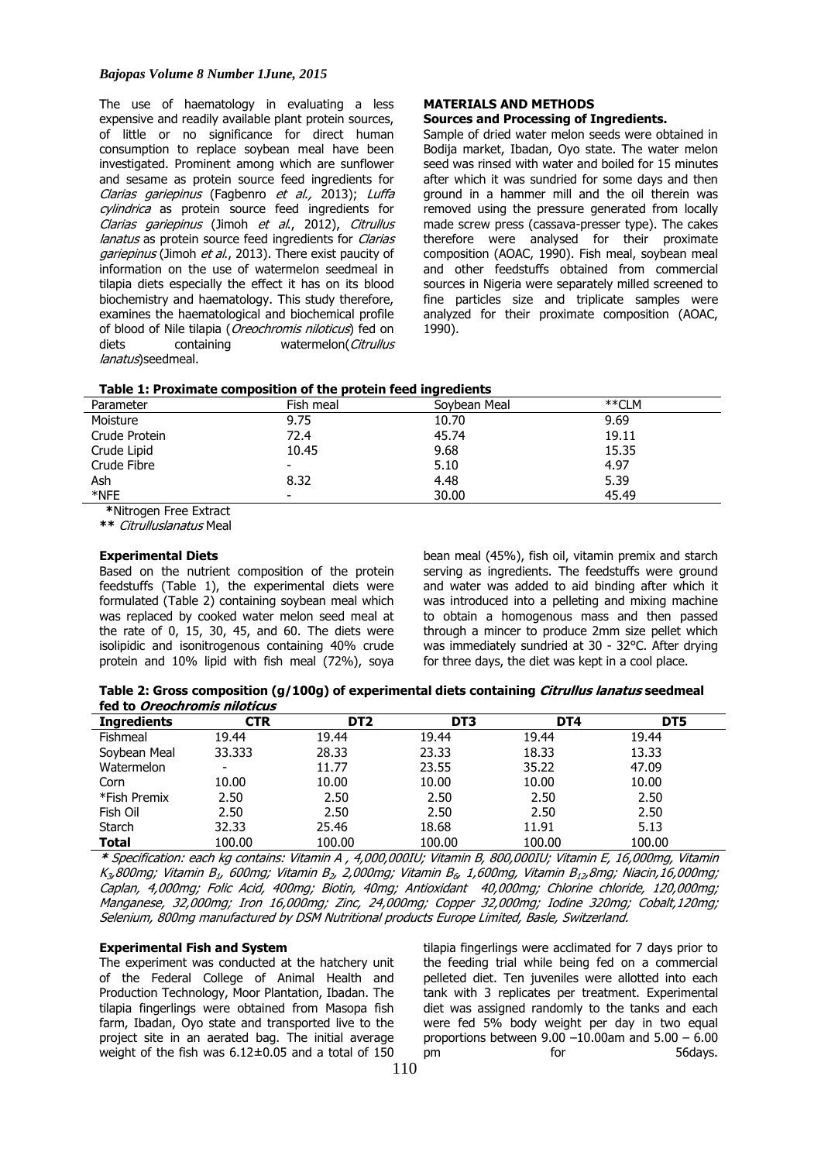#### *Bajopas Volume 8 Number 1June, 2015*

The use of haematology in evaluating a less expensive and readily available plant protein sources, of little or no significance for direct human consumption to replace soybean meal have been investigated. Prominent among which are sunflower and sesame as protein source feed ingredients for Clarias gariepinus (Fagbenro et al., 2013); Luffa cylindrica as protein source feed ingredients for Clarias gariepinus (Jimoh et al., 2012), Citrullus lanatus as protein source feed ingredients for Clarias gariepinus (Jimoh et al., 2013). There exist paucity of information on the use of watermelon seedmeal in tilapia diets especially the effect it has on its blood biochemistry and haematology. This study therefore, examines the haematological and biochemical profile of blood of Nile tilapia (*Oreochromis niloticus*) fed on diets containing watermelon(Citrullus lanatus) seedmeal.

# **MATERIALS AND METHODS**

# **Sources and Processing of Ingredients.**

Sample of dried water melon seeds were obtained in Bodija market, Ibadan, Oyo state. The water melon seed was rinsed with water and boiled for 15 minutes after which it was sundried for some days and then ground in a hammer mill and the oil therein was removed using the pressure generated from locally made screw press (cassava-presser type). The cakes therefore were analysed for their proximate composition (AOAC, 1990). Fish meal, soybean meal and other feedstuffs obtained from commercial sources in Nigeria were separately milled screened to fine particles size and triplicate samples were analyzed for their proximate composition (AOAC, 1990).

| Parameter                                                                                                                                                                                                                         | Fish meal | Soybean Meal | **CLM |  |
|-----------------------------------------------------------------------------------------------------------------------------------------------------------------------------------------------------------------------------------|-----------|--------------|-------|--|
| Moisture                                                                                                                                                                                                                          | 9.75      | 10.70        | 9.69  |  |
| Crude Protein                                                                                                                                                                                                                     | 72.4      | 45.74        | 19.11 |  |
| Crude Lipid                                                                                                                                                                                                                       | 10.45     | 9.68         | 15.35 |  |
| Crude Fibre                                                                                                                                                                                                                       |           | 5.10         | 4.97  |  |
| Ash                                                                                                                                                                                                                               | 8.32      | 4.48         | 5.39  |  |
| *NFE                                                                                                                                                                                                                              | -         | 30.00        | 45.49 |  |
| $\frac{1}{2}$ , the contract of the contract of the contract of the contract of the contract of the contract of the contract of the contract of the contract of the contract of the contract of the contract of the contract of t |           |              |       |  |

# **Table 1: Proximate composition of the protein feed ingredients**

**\***Nitrogen Free Extract

**\*\*** Citrulluslanatus Meal

# **Experimental Diets**

Based on the nutrient composition of the protein feedstuffs (Table 1), the experimental diets were formulated (Table 2) containing soybean meal which was replaced by cooked water melon seed meal at the rate of 0, 15, 30, 45, and 60. The diets were isolipidic and isonitrogenous containing 40% crude protein and 10% lipid with fish meal (72%), soya

bean meal (45%), fish oil, vitamin premix and starch serving as ingredients. The feedstuffs were ground and water was added to aid binding after which it was introduced into a pelleting and mixing machine to obtain a homogenous mass and then passed through a mincer to produce 2mm size pellet which was immediately sundried at 30 - 32°C. After drying for three days, the diet was kept in a cool place.

**Table 2: Gross composition (g/100g) of experimental diets containing Citrullus lanatus seedmeal fed to Oreochromis niloticus**

| <b>Ingredients</b> | <b>CTR</b> | DT <sub>2</sub> | DT3    | DT4    | DT5    |  |
|--------------------|------------|-----------------|--------|--------|--------|--|
| Fishmeal           | 19.44      | 19.44           | 19.44  | 19.44  | 19.44  |  |
| Soybean Meal       | 33.333     | 28.33           | 23.33  | 18.33  | 13.33  |  |
| Watermelon         | -          | 11.77           | 23.55  | 35.22  | 47.09  |  |
| Corn               | 10.00      | 10.00           | 10.00  | 10.00  | 10.00  |  |
| *Fish Premix       | 2.50       | 2.50            | 2.50   | 2.50   | 2.50   |  |
| Fish Oil           | 2.50       | 2.50            | 2.50   | 2.50   | 2.50   |  |
| Starch             | 32.33      | 25.46           | 18.68  | 11.91  | 5.13   |  |
| Total              | 100.00     | 100.00          | 100.00 | 100.00 | 100.00 |  |

**\*** Specification: each kg contains: Vitamin A , 4,000,000IU; Vitamin B, 800,000IU; Vitamin E, 16,000mg, Vitamin K<sub>3</sub>,800mg; Vitamin B<sub>1</sub>, 600mg; Vitamin B<sub>2</sub>, 2,000mg; Vitamin B<sub>6</sub>, 1,600mg, Vitamin B<sub>12</sub>,8mg; Niacin,16,000mg; Caplan, 4,000mg; Folic Acid, 400mg; Biotin, 40mg; Antioxidant 40,000mg; Chlorine chloride, 120,000mg; Manganese, 32,000mg; Iron 16,000mg; Zinc, 24,000mg; Copper 32,000mg; Iodine 320mg; Cobalt,120mg; Selenium, 800mg manufactured by DSM Nutritional products Europe Limited, Basle, Switzerland.

# **Experimental Fish and System**

The experiment was conducted at the hatchery unit of the Federal College of Animal Health and Production Technology, Moor Plantation, Ibadan. The tilapia fingerlings were obtained from Masopa fish farm, Ibadan, Oyo state and transported live to the project site in an aerated bag. The initial average weight of the fish was 6.12±0.05 and a total of 150

tilapia fingerlings were acclimated for 7 days prior to the feeding trial while being fed on a commercial pelleted diet. Ten juveniles were allotted into each tank with 3 replicates per treatment. Experimental diet was assigned randomly to the tanks and each were fed 5% body weight per day in two equal proportions between  $9.00 - 10.00$ am and  $5.00 - 6.00$ pm for 56days.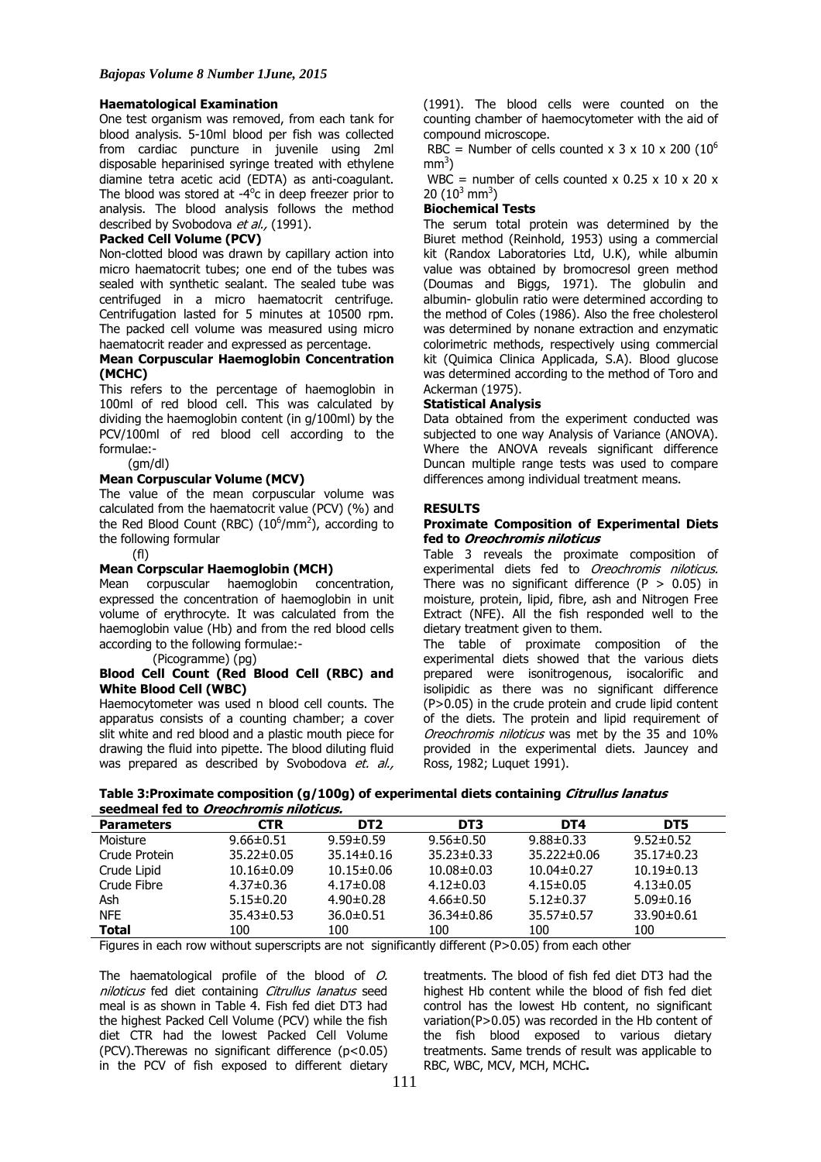# **Haematological Examination**

One test organism was removed, from each tank for blood analysis. 5-10ml blood per fish was collected from cardiac puncture in juvenile using 2ml disposable heparinised syringe treated with ethylene diamine tetra acetic acid (EDTA) as anti-coagulant. The blood was stored at -4<sup>o</sup>c in deep freezer prior to analysis. The blood analysis follows the method described by Svobodova et al., (1991).

# **Packed Cell Volume (PCV)**

Non-clotted blood was drawn by capillary action into micro haematocrit tubes; one end of the tubes was sealed with synthetic sealant. The sealed tube was centrifuged in a micro haematocrit centrifuge. Centrifugation lasted for 5 minutes at 10500 rpm. The packed cell volume was measured using micro haematocrit reader and expressed as percentage.

# **Mean Corpuscular Haemoglobin Concentration (MCHC)**

This refers to the percentage of haemoglobin in 100ml of red blood cell. This was calculated by dividing the haemoglobin content (in g/100ml) by the PCV/100ml of red blood cell according to the formulae:-

(gm/dl)

# **Mean Corpuscular Volume (MCV)**

The value of the mean corpuscular volume was calculated from the haematocrit value (PCV) (%) and the Red Blood Count (RBC)  $(10^6/\text{mm}^2)$ , according to the following formular

#### (fl)

# **Mean Corpscular Haemoglobin (MCH)**

Mean corpuscular haemoglobin concentration, expressed the concentration of haemoglobin in unit volume of erythrocyte. It was calculated from the haemoglobin value (Hb) and from the red blood cells according to the following formulae:-

(Picogramme) (pg)

# **Blood Cell Count (Red Blood Cell (RBC) and White Blood Cell (WBC)**

Haemocytometer was used n blood cell counts. The apparatus consists of a counting chamber; a cover slit white and red blood and a plastic mouth piece for drawing the fluid into pipette. The blood diluting fluid was prepared as described by Svobodova et. al.,

(1991). The blood cells were counted on the counting chamber of haemocytometer with the aid of compound microscope.

RBC = Number of cells counted x 3 x 10 x 200 ( $10^6$ )  $mm<sup>3</sup>$ )

WBC = number of cells counted x  $0.25 \times 10 \times 20 \times$ 20  $(10^3 \text{ mm}^3)$ 

# **Biochemical Tests**

The serum total protein was determined by the Biuret method (Reinhold, 1953) using a commercial kit (Randox Laboratories Ltd, U.K), while albumin value was obtained by bromocresol green method (Doumas and Biggs, 1971). The globulin and albumin- globulin ratio were determined according to the method of Coles (1986). Also the free cholesterol was determined by nonane extraction and enzymatic colorimetric methods, respectively using commercial kit (Quimica Clinica Applicada, S.A). Blood glucose was determined according to the method of Toro and Ackerman (1975).

# **Statistical Analysis**

Data obtained from the experiment conducted was subjected to one way Analysis of Variance (ANOVA). Where the ANOVA reveals significant difference Duncan multiple range tests was used to compare differences among individual treatment means.

# **RESULTS**

# **Proximate Composition of Experimental Diets fed to Oreochromis niloticus**

Table 3 reveals the proximate composition of experimental diets fed to Oreochromis niloticus. There was no significant difference  $(P > 0.05)$  in moisture, protein, lipid, fibre, ash and Nitrogen Free Extract (NFE). All the fish responded well to the dietary treatment given to them.

The table of proximate composition of the experimental diets showed that the various diets prepared were isonitrogenous, isocalorific and isolipidic as there was no significant difference (P>0.05) in the crude protein and crude lipid content of the diets. The protein and lipid requirement of Oreochromis niloticus was met by the 35 and 10% provided in the experimental diets. Jauncey and Ross, 1982; Luquet 1991).

| Table 3: Proximate composition (g/100g) of experimental diets containing Citrullus lanatus |  |
|--------------------------------------------------------------------------------------------|--|
| seedmeal fed to Oreochromis niloticus.                                                     |  |

| <b>Parameters</b> | <b>CTR</b>       | DT <sub>2</sub>  | DT3              | DT4               | DT5              |  |
|-------------------|------------------|------------------|------------------|-------------------|------------------|--|
| Moisture          | $9.66 \pm 0.51$  | $9.59 \pm 0.59$  | $9.56 \pm 0.50$  | $9.88 \pm 0.33$   | $9.52 \pm 0.52$  |  |
| Crude Protein     | $35.22 \pm 0.05$ | $35.14 \pm 0.16$ | $35.23 \pm 0.33$ | $35.222 \pm 0.06$ | $35.17 \pm 0.23$ |  |
| Crude Lipid       | $10.16 \pm 0.09$ | $10.15 \pm 0.06$ | $10.08 \pm 0.03$ | $10.04 \pm 0.27$  | $10.19 \pm 0.13$ |  |
| Crude Fibre       | $4.37 \pm 0.36$  | $4.17 \pm 0.08$  | $4.12 \pm 0.03$  | $4.15 \pm 0.05$   | $4.13 \pm 0.05$  |  |
| Ash               | $5.15 \pm 0.20$  | $4.90 \pm 0.28$  | $4.66 \pm 0.50$  | $5.12 \pm 0.37$   | $5.09 \pm 0.16$  |  |
| <b>NFE</b>        | $35.43 \pm 0.53$ | $36.0 \pm 0.51$  | $36.34 \pm 0.86$ | 35.57±0.57        | $33.90 \pm 0.61$ |  |
| <b>Total</b>      | 100              | 100              | 100              | 100               | 100              |  |

Figures in each row without superscripts are not significantly different  $(P>0.05)$  from each other

The haematological profile of the blood of O. niloticus fed diet containing Citrullus lanatus seed meal is as shown in Table 4. Fish fed diet DT3 had the highest Packed Cell Volume (PCV) while the fish diet CTR had the lowest Packed Cell Volume (PCV).Therewas no significant difference (p<0.05) in the PCV of fish exposed to different dietary

treatments. The blood of fish fed diet DT3 had the highest Hb content while the blood of fish fed diet control has the lowest Hb content, no significant variation(P>0.05) was recorded in the Hb content of the fish blood exposed to various dietary treatments. Same trends of result was applicable to RBC, WBC, MCV, MCH, MCHC**.**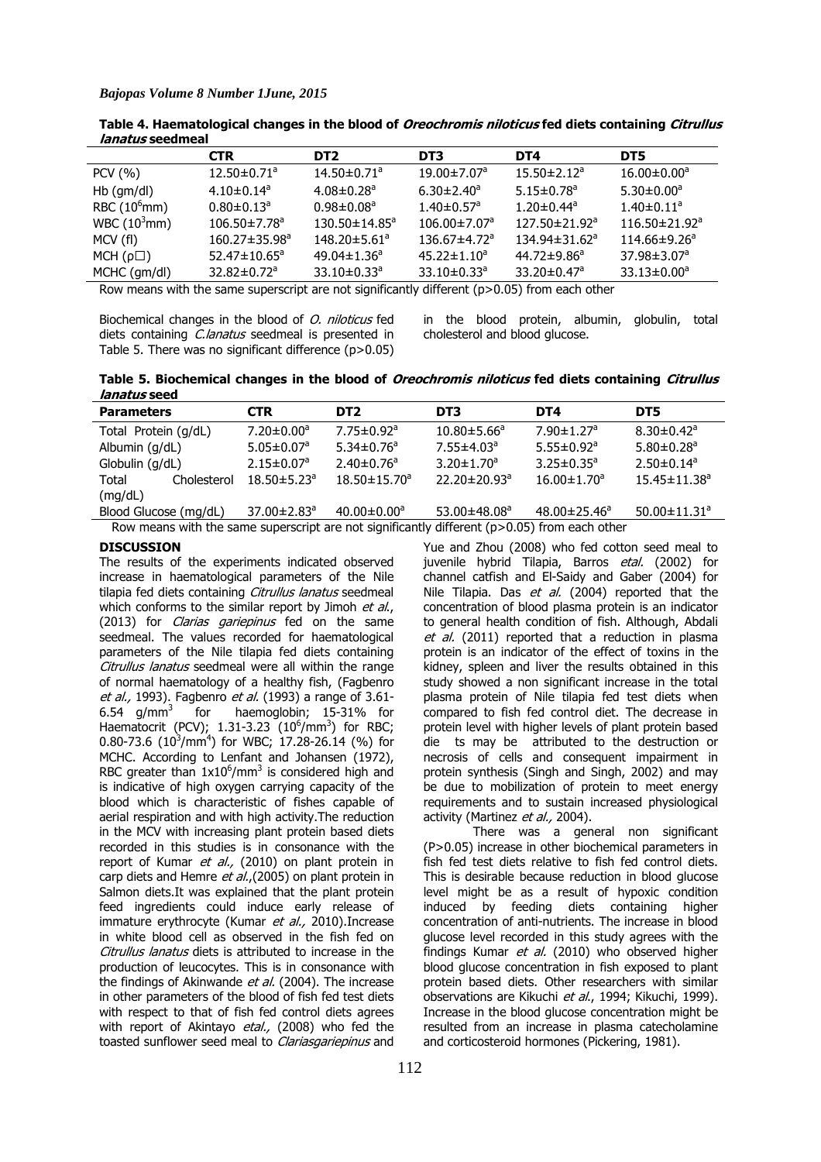|                 | <b>CTR</b>                     | DT2                             | DT3                            | DT4                             | DT5                 |
|-----------------|--------------------------------|---------------------------------|--------------------------------|---------------------------------|---------------------|
| PCV(%)          | $12.50 \pm 0.71$ <sup>a</sup>  | $14.50 \pm 0.71$ <sup>a</sup>   | $19.00 \pm 7.07$ <sup>a</sup>  | $15.50 \pm 2.12$ <sup>a</sup>   | $16.00 \pm 0.00^a$  |
| $Hb$ (gm/dl)    | $4.10 \pm 0.14$ <sup>a</sup>   | $4.08 \pm 0.28$ <sup>a</sup>    | $6.30 \pm 2.40^a$              | $5.15 \pm 0.78$ <sup>a</sup>    | $5.30 \pm 0.00^a$   |
| RBC $(10^6$ mm) | $0.80 \pm 0.13$ <sup>a</sup>   | $0.98 \pm 0.08$ <sup>a</sup>    | $1.40 \pm 0.57$ <sup>a</sup>   | $1.20 \pm 0.44$ <sup>a</sup>    | $1.40 \pm 0.11^a$   |
| WBC $(10^3$ mm) | $106.50 \pm 7.78$ <sup>a</sup> | $130.50 \pm 14.85$ <sup>a</sup> | $106.00 \pm 7.07$ <sup>a</sup> | $127.50 \pm 21.92$ <sup>a</sup> | $116.50\pm21.92^a$  |
| MCV (fl)        | 160.27±35.98 <sup>a</sup>      | $148.20 \pm 5.61$ <sup>a</sup>  | $136.67 \pm 4.72$ <sup>a</sup> | 134.94±31.62 <sup>a</sup>       | $114.66 \pm 9.26^a$ |
| MCH(p)          | $52.47 \pm 10.65^{\circ}$      | $49.04 \pm 1.36^a$              | $45.22 \pm 1.10^a$             | $44.72 \pm 9.86^a$              | $37.98 \pm 3.07^a$  |
| MCHC (gm/dl)    | $32.82 \pm 0.72$ <sup>a</sup>  | 33.10 $\pm$ 0.33 <sup>a</sup>   | $33.10 \pm 0.33$ <sup>a</sup>  | 33.20 $\pm$ 0.47 $\textdegree$  | $33.13 \pm 0.00^a$  |

**Table 4. Haematological changes in the blood of Oreochromis niloticus fed diets containing Citrullus lanatus seedmeal**

Row means with the same superscript are not significantly different  $(p>0.05)$  from each other

Biochemical changes in the blood of *O. niloticus* fed diets containing *C.lanatus* seedmeal is presented in Table 5. There was no significant difference (p>0.05) in the blood protein, albumin, globulin, total cholesterol and blood glucose.

**Table 5. Biochemical changes in the blood of Oreochromis niloticus fed diets containing Citrullus lanatus seed** 

| <b>Parameters</b>                                                                            |             | <b>CTR</b>                    | DT2                           | DT3                            | DT4                           | DT5                            |
|----------------------------------------------------------------------------------------------|-------------|-------------------------------|-------------------------------|--------------------------------|-------------------------------|--------------------------------|
| Total Protein (g/dL)                                                                         |             | $7.20 \pm 0.00$ <sup>a</sup>  | $7.75 \pm 0.92$ <sup>a</sup>  | $10.80 \pm 5.66^{\circ}$       | $7.90 \pm 1.27$ <sup>a</sup>  | $8.30 \pm 0.42$ <sup>a</sup>   |
| Albumin $(g/dL)$                                                                             |             | $5.05 \pm 0.07$ <sup>a</sup>  | $5.34 \pm 0.76$ <sup>a</sup>  | $7.55 \pm 4.03$ <sup>a</sup>   | $5.55 \pm 0.92$ <sup>a</sup>  | $5.80 \pm 0.28$ <sup>a</sup>   |
| Globulin (g/dL)                                                                              |             | $2.15 \pm 0.07$ <sup>a</sup>  | $2.40 \pm 0.76$ <sup>a</sup>  | $3.20 \pm 1.70$ <sup>a</sup>   | $3.25 \pm 0.35^{\circ}$       | $2.50 \pm 0.14$ <sup>a</sup>   |
| Total                                                                                        | Cholesterol | $18.50 \pm 5.23$ <sup>a</sup> | $18.50 \pm 15.70^{\circ}$     | $22.20 \pm 20.93$ <sup>a</sup> | $16.00 \pm 1.70$ <sup>a</sup> | $15.45 \pm 11.38$ <sup>a</sup> |
| (mg/dL)                                                                                      |             |                               |                               |                                |                               |                                |
| Blood Glucose (mg/dL)                                                                        |             | 37.00±2.83 <sup>a</sup>       | $40.00 \pm 0.00$ <sup>a</sup> | $53.00 + 48.08$ <sup>a</sup>   | $48.00 \pm 25.46^a$           | 50.00 $\pm$ 11.31 <sup>a</sup> |
| Row means with the same superscript are not significantly different (p>0.05) from each other |             |                               |                               |                                |                               |                                |

Row means with the same superscript are not significantly different  $(p>0.05)$  from each other

#### **DISCUSSION**

The results of the experiments indicated observed increase in haematological parameters of the Nile tilapia fed diets containing Citrullus lanatus seedmeal which conforms to the similar report by Jimoh  $et$  al., (2013) for *Clarias gariepinus* fed on the same seedmeal. The values recorded for haematological parameters of the Nile tilapia fed diets containing Citrullus lanatus seedmeal were all within the range of normal haematology of a healthy fish, (Fagbenro et al., 1993). Fagbenro et al. (1993) a range of 3.61-6.54 g/mm<sup>3</sup> for haemoglobin; 15-31% for Haematocrit (PCV);  $1.31-3.23$  ( $10^6/\text{mm}^3$ ) for RBC; 0.80-73.6 (10<sup>3</sup>/mm<sup>4</sup>) for WBC; 17.28-26.14 (%) for MCHC. According to Lenfant and Johansen (1972), RBC greater than  $1x10^6/\text{mm}^3$  is considered high and is indicative of high oxygen carrying capacity of the blood which is characteristic of fishes capable of aerial respiration and with high activity.The reduction in the MCV with increasing plant protein based diets recorded in this studies is in consonance with the report of Kumar et al., (2010) on plant protein in carp diets and Hemre et al.,(2005) on plant protein in Salmon diets.It was explained that the plant protein feed ingredients could induce early release of immature erythrocyte (Kumar et al., 2010). Increase in white blood cell as observed in the fish fed on Citrullus lanatus diets is attributed to increase in the production of leucocytes. This is in consonance with the findings of Akinwande et al. (2004). The increase in other parameters of the blood of fish fed test diets with respect to that of fish fed control diets agrees with report of Akintayo etal., (2008) who fed the toasted sunflower seed meal to *Clariasgariepinus* and

Yue and Zhou (2008) who fed cotton seed meal to juvenile hybrid Tilapia, Barros etal. (2002) for channel catfish and El-Saidy and Gaber (2004) for Nile Tilapia. Das et al. (2004) reported that the concentration of blood plasma protein is an indicator to general health condition of fish. Although, Abdali et al. (2011) reported that a reduction in plasma protein is an indicator of the effect of toxins in the kidney, spleen and liver the results obtained in this study showed a non significant increase in the total plasma protein of Nile tilapia fed test diets when compared to fish fed control diet. The decrease in protein level with higher levels of plant protein based die ts may be attributed to the destruction or necrosis of cells and consequent impairment in protein synthesis (Singh and Singh, 2002) and may be due to mobilization of protein to meet energy requirements and to sustain increased physiological activity (Martinez et al., 2004).

There was a general non significant (P>0.05) increase in other biochemical parameters in fish fed test diets relative to fish fed control diets. This is desirable because reduction in blood glucose level might be as a result of hypoxic condition induced by feeding diets containing higher concentration of anti-nutrients. The increase in blood glucose level recorded in this study agrees with the findings Kumar  $et$  al. (2010) who observed higher blood glucose concentration in fish exposed to plant protein based diets. Other researchers with similar observations are Kikuchi et al., 1994; Kikuchi, 1999). Increase in the blood glucose concentration might be resulted from an increase in plasma catecholamine and corticosteroid hormones (Pickering, 1981).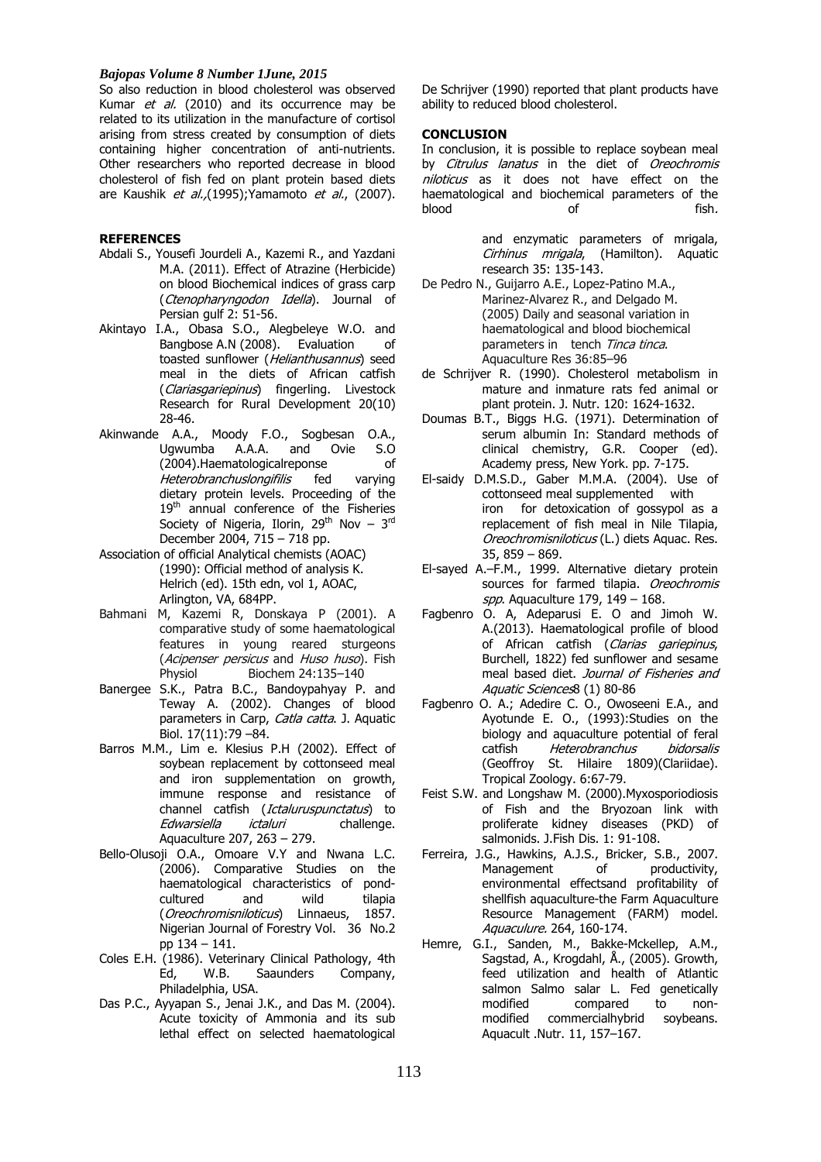#### *Bajopas Volume 8 Number 1June, 2015*

So also reduction in blood cholesterol was observed Kumar et al. (2010) and its occurrence may be related to its utilization in the manufacture of cortisol arising from stress created by consumption of diets containing higher concentration of anti-nutrients. Other researchers who reported decrease in blood cholesterol of fish fed on plant protein based diets are Kaushik et al., (1995); Yamamoto et al., (2007).

# **REFERENCES**

- Abdali S., Yousefi Jourdeli A., Kazemi R., and Yazdani M.A. (2011). Effect of Atrazine (Herbicide) on blood Biochemical indices of grass carp (Ctenopharyngodon Idella). Journal of Persian gulf 2: 51-56.
- Akintayo I.A., Obasa S.O., Alegbeleye W.O. and Bangbose A.N (2008). Evaluation of toasted sunflower (Helianthusannus) seed meal in the diets of African catfish (Clariasgariepinus) fingerling. Livestock Research for Rural Development 20(10) 28-46.
- Akinwande A.A., Moody F.O., Sogbesan O.A., Ugwumba A.A.A. and Ovie S.O (2004).Haematologicalreponse of Heterobranchuslongifilis fed varying dietary protein levels. Proceeding of the 19<sup>th</sup> annual conference of the Fisheries Society of Nigeria, Ilorin,  $29<sup>th</sup>$  Nov –  $3<sup>rd</sup>$ December 2004, 715 – 718 pp.
- Association of official Analytical chemists (AOAC) (1990): Official method of analysis K. Helrich (ed). 15th edn, vol 1, AOAC, Arlington, VA, 684PP.
- Bahmani M, Kazemi R, Donskaya P (2001). A comparative study of some haematological features in young reared sturgeons (Acipenser persicus and Huso huso). Fish Physiol Biochem 24:135-140
- Banergee S.K., Patra B.C., Bandoypahyay P. and Teway A. (2002). Changes of blood parameters in Carp, Catla catta. J. Aquatic Biol. 17(11):79 –84.
- Barros M.M., Lim e. Klesius P.H (2002). Effect of soybean replacement by cottonseed meal and iron supplementation on growth, immune response and resistance of channel catfish (Ictaluruspunctatus) to Edwarsiella ictaluri challenge. Aquaculture 207, 263 – 279.
- Bello-Olusoji O.A., Omoare V.Y and Nwana L.C. (2006). Comparative Studies on the haematological characteristics of pondcultured and wild tilapia (Oreochromisniloticus) Linnaeus, 1857. Nigerian Journal of Forestry Vol. 36 No.2 pp 134 – 141.
- Coles E.H. (1986). Veterinary Clinical Pathology, 4th Ed, W.B. Saaunders Company, Philadelphia, USA.
- Das P.C., Ayyapan S., Jenai J.K., and Das M. (2004). Acute toxicity of Ammonia and its sub lethal effect on selected haematological

De Schrijver (1990) reported that plant products have ability to reduced blood cholesterol.

#### **CONCLUSION**

In conclusion, it is possible to replace soybean meal by Citrulus lanatus in the diet of Oreochromis niloticus as it does not have effect on the haematological and biochemical parameters of the blood of fish.

> and enzymatic parameters of mrigala, Cirhinus mrigala, (Hamilton). Aquatic research 35: 135-143.

- De Pedro N., Guijarro A.E., Lopez-Patino M.A., Marinez-Alvarez R., and Delgado M. (2005) Daily and seasonal variation in haematological and blood biochemical parameters in tench Tinca tinca. Aquaculture Res 36:85–96
- de Schrijver R. (1990). Cholesterol metabolism in mature and inmature rats fed animal or plant protein. J. Nutr. 120: 1624-1632.
- Doumas B.T., Biggs H.G. (1971). Determination of serum albumin In: Standard methods of clinical chemistry, G.R. Cooper (ed). Academy press, New York. pp. 7-175.
- El-saidy D.M.S.D., Gaber M.M.A. (2004). Use of cottonseed meal supplemented with iron for detoxication of gossypol as a replacement of fish meal in Nile Tilapia, Oreochromisniloticus (L.) diets Aquac. Res. 35, 859 – 869.
- El-sayed A.–F.M., 1999. Alternative dietary protein sources for farmed tilapia. Oreochromis spp. Aquaculture 179,  $149 - 168$ .
- Fagbenro O. A, Adeparusi E. O and Jimoh W. A.(2013). Haematological profile of blood of African catfish (Clarias gariepinus, Burchell, 1822) fed sunflower and sesame meal based diet. Journal of Fisheries and Aquatic Sciences8 (1) 80-86
- Fagbenro O. A.; Adedire C. O., Owoseeni E.A., and Ayotunde E. O., (1993):Studies on the biology and aquaculture potential of feral catfish Heterobranchus bidorsalis (Geoffroy St. Hilaire 1809)(Clariidae). Tropical Zoology. 6:67-79.
- Feist S.W. and Longshaw M. (2000).Myxosporiodiosis of Fish and the Bryozoan link with proliferate kidney diseases (PKD) of salmonids. J.Fish Dis. 1: 91-108.
- Ferreira, J.G., Hawkins, A.J.S., Bricker, S.B., 2007. Management of productivity, environmental effectsand profitability of shellfish aquaculture-the Farm Aquaculture Resource Management (FARM) model. Aquaculure. 264, 160-174.
- Hemre, G.I., Sanden, M., Bakke-Mckellep, A.M., Sagstad, A., Krogdahl, Å., (2005). Growth, feed utilization and health of Atlantic salmon Salmo salar L. Fed genetically modified compared to nonmodified commercialhybrid soybeans. Aquacult .Nutr. 11, 157–167.